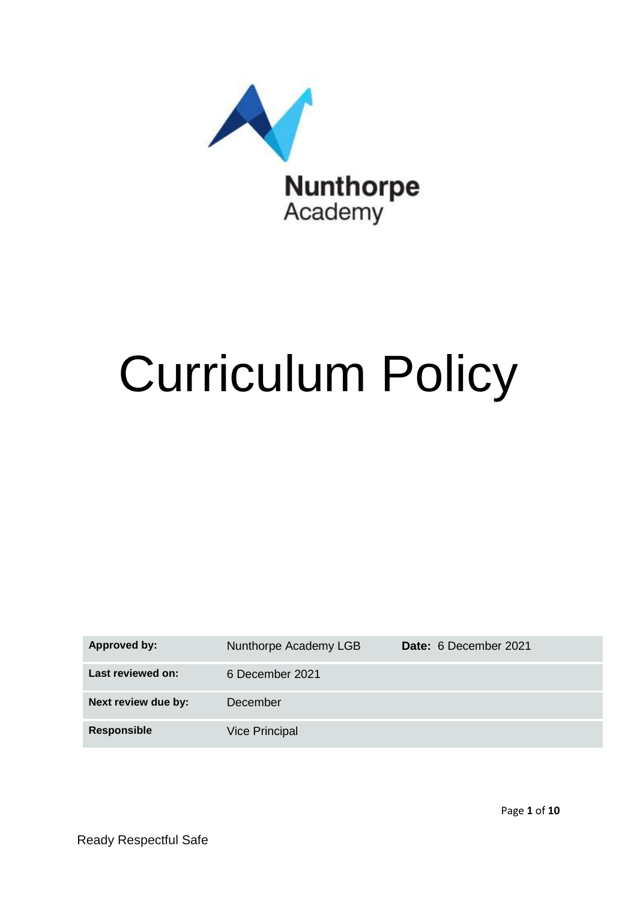

# Curriculum Policy

| Approved by:        | Nunthorpe Academy LGB | Date: 6 December 2021 |
|---------------------|-----------------------|-----------------------|
| Last reviewed on:   | 6 December 2021       |                       |
| Next review due by: | December              |                       |
| <b>Responsible</b>  | <b>Vice Principal</b> |                       |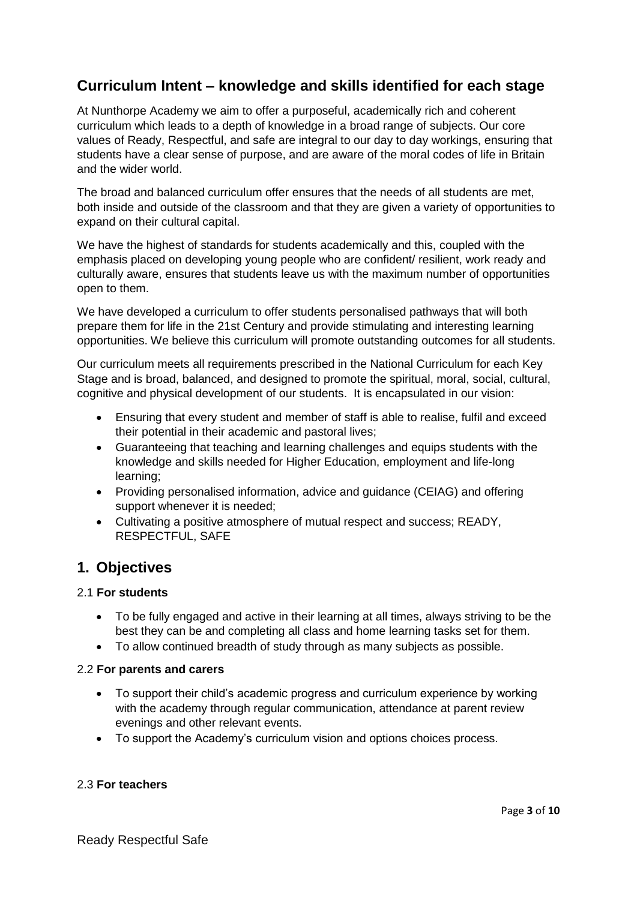# **Curriculum Intent – knowledge and skills identified for each stage**

At Nunthorpe Academy we aim to offer a purposeful, academically rich and coherent curriculum which leads to a depth of knowledge in a broad range of subjects. Our core values of Ready, Respectful, and safe are integral to our day to day workings, ensuring that students have a clear sense of purpose, and are aware of the moral codes of life in Britain and the wider world.

The broad and balanced curriculum offer ensures that the needs of all students are met, both inside and outside of the classroom and that they are given a variety of opportunities to expand on their cultural capital.

We have the highest of standards for students academically and this, coupled with the emphasis placed on developing young people who are confident/ resilient, work ready and culturally aware, ensures that students leave us with the maximum number of opportunities open to them.

We have developed a curriculum to offer students personalised pathways that will both prepare them for life in the 21st Century and provide stimulating and interesting learning opportunities. We believe this curriculum will promote outstanding outcomes for all students.

Our curriculum meets all requirements prescribed in the National Curriculum for each Key Stage and is broad, balanced, and designed to promote the spiritual, moral, social, cultural, cognitive and physical development of our students. It is encapsulated in our vision:

- Ensuring that every student and member of staff is able to realise, fulfil and exceed their potential in their academic and pastoral lives;
- Guaranteeing that teaching and learning challenges and equips students with the knowledge and skills needed for Higher Education, employment and life-long learning;
- Providing personalised information, advice and guidance (CEIAG) and offering support whenever it is needed;
- Cultivating a positive atmosphere of mutual respect and success; READY, RESPECTFUL, SAFE

# **1. Objectives**

## 2.1 **For students**

- To be fully engaged and active in their learning at all times, always striving to be the best they can be and completing all class and home learning tasks set for them.
- To allow continued breadth of study through as many subjects as possible.

#### 2.2 **For parents and carers**

- To support their child's academic progress and curriculum experience by working with the academy through regular communication, attendance at parent review evenings and other relevant events.
- To support the Academy's curriculum vision and options choices process.

#### 2.3 **For teachers**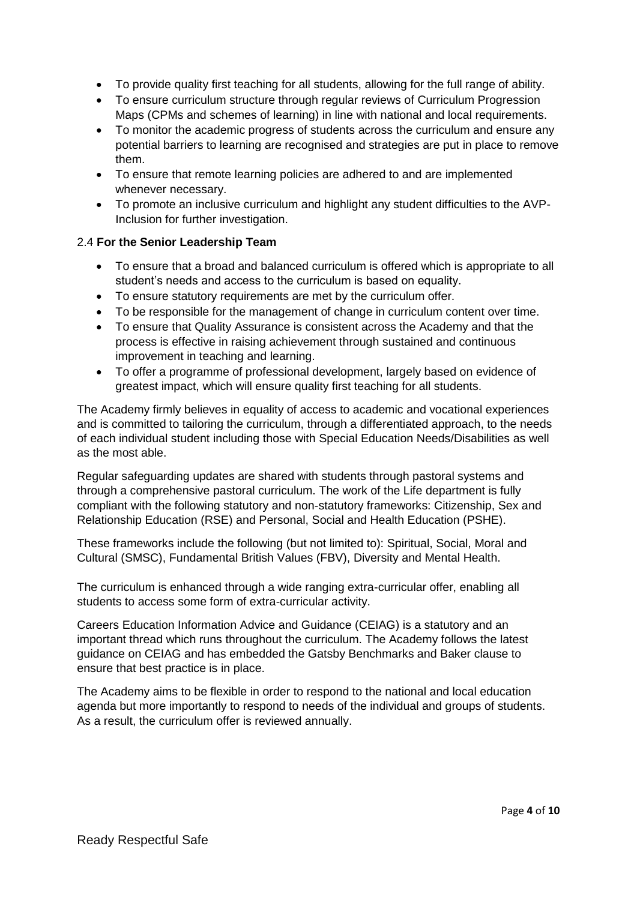- To provide quality first teaching for all students, allowing for the full range of ability.
- To ensure curriculum structure through regular reviews of Curriculum Progression Maps (CPMs and schemes of learning) in line with national and local requirements.
- To monitor the academic progress of students across the curriculum and ensure any potential barriers to learning are recognised and strategies are put in place to remove them.
- To ensure that remote learning policies are adhered to and are implemented whenever necessary.
- To promote an inclusive curriculum and highlight any student difficulties to the AVP-Inclusion for further investigation.

## 2.4 **For the Senior Leadership Team**

- To ensure that a broad and balanced curriculum is offered which is appropriate to all student's needs and access to the curriculum is based on equality.
- To ensure statutory requirements are met by the curriculum offer.
- To be responsible for the management of change in curriculum content over time.
- To ensure that Quality Assurance is consistent across the Academy and that the process is effective in raising achievement through sustained and continuous improvement in teaching and learning.
- To offer a programme of professional development, largely based on evidence of greatest impact, which will ensure quality first teaching for all students.

The Academy firmly believes in equality of access to academic and vocational experiences and is committed to tailoring the curriculum, through a differentiated approach, to the needs of each individual student including those with Special Education Needs/Disabilities as well as the most able.

Regular safeguarding updates are shared with students through pastoral systems and through a comprehensive pastoral curriculum. The work of the Life department is fully compliant with the following statutory and non-statutory frameworks: Citizenship, Sex and Relationship Education (RSE) and Personal, Social and Health Education (PSHE).

These frameworks include the following (but not limited to): Spiritual, Social, Moral and Cultural (SMSC), Fundamental British Values (FBV), Diversity and Mental Health.

The curriculum is enhanced through a wide ranging extra-curricular offer, enabling all students to access some form of extra-curricular activity.

Careers Education Information Advice and Guidance (CEIAG) is a statutory and an important thread which runs throughout the curriculum. The Academy follows the latest guidance on CEIAG and has embedded the Gatsby Benchmarks and Baker clause to ensure that best practice is in place.

The Academy aims to be flexible in order to respond to the national and local education agenda but more importantly to respond to needs of the individual and groups of students. As a result, the curriculum offer is reviewed annually.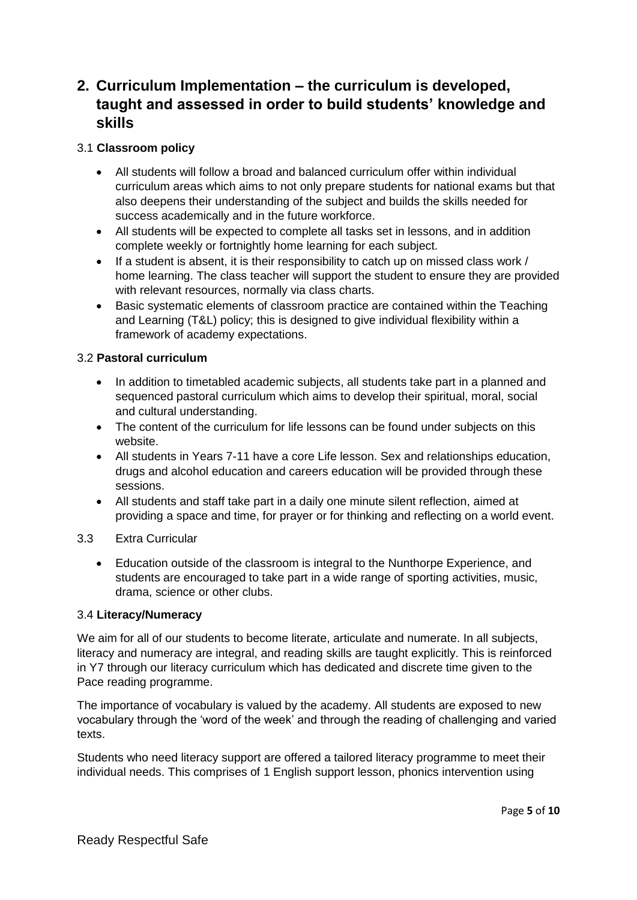# **2. Curriculum Implementation – the curriculum is developed, taught and assessed in order to build students' knowledge and skills**

### 3.1 **Classroom policy**

- All students will follow a broad and balanced curriculum offer within individual curriculum areas which aims to not only prepare students for national exams but that also deepens their understanding of the subject and builds the skills needed for success academically and in the future workforce.
- All students will be expected to complete all tasks set in lessons, and in addition complete weekly or fortnightly home learning for each subject.
- If a student is absent, it is their responsibility to catch up on missed class work / home learning. The class teacher will support the student to ensure they are provided with relevant resources, normally via class charts.
- Basic systematic elements of classroom practice are contained within the Teaching and Learning (T&L) policy; this is designed to give individual flexibility within a framework of academy expectations.

## 3.2 **Pastoral curriculum**

- In addition to timetabled academic subjects, all students take part in a planned and sequenced pastoral curriculum which aims to develop their spiritual, moral, social and cultural understanding.
- The content of the curriculum for life lessons can be found under subjects on this website.
- All students in Years 7-11 have a core Life lesson. Sex and relationships education, drugs and alcohol education and careers education will be provided through these sessions.
- All students and staff take part in a daily one minute silent reflection, aimed at providing a space and time, for prayer or for thinking and reflecting on a world event.

#### 3.3 Extra Curricular

 Education outside of the classroom is integral to the Nunthorpe Experience, and students are encouraged to take part in a wide range of sporting activities, music, drama, science or other clubs.

#### 3.4 **Literacy/Numeracy**

We aim for all of our students to become literate, articulate and numerate. In all subjects, literacy and numeracy are integral, and reading skills are taught explicitly. This is reinforced in Y7 through our literacy curriculum which has dedicated and discrete time given to the Pace reading programme.

The importance of vocabulary is valued by the academy. All students are exposed to new vocabulary through the 'word of the week' and through the reading of challenging and varied texts.

Students who need literacy support are offered a tailored literacy programme to meet their individual needs. This comprises of 1 English support lesson, phonics intervention using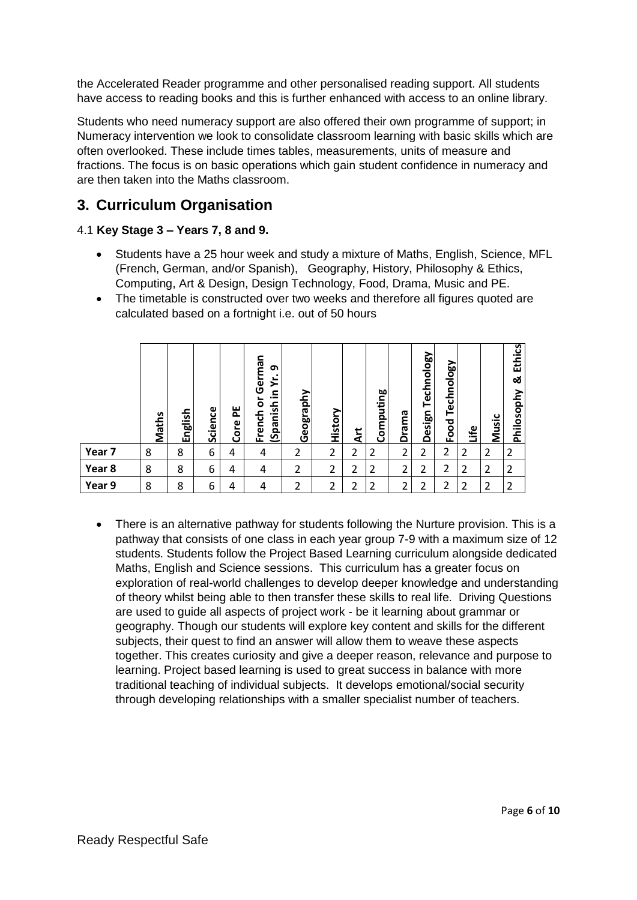the Accelerated Reader programme and other personalised reading support. All students have access to reading books and this is further enhanced with access to an online library.

Students who need numeracy support are also offered their own programme of support; in Numeracy intervention we look to consolidate classroom learning with basic skills which are often overlooked. These include times tables, measurements, units of measure and fractions. The focus is on basic operations which gain student confidence in numeracy and are then taken into the Maths classroom.

# **3. Curriculum Organisation**

# 4.1 **Key Stage 3 – Years 7, 8 and 9.**

- Students have a 25 hour week and study a mixture of Maths, English, Science, MFL (French, German, and/or Spanish), Geography, History, Philosophy & Ethics, Computing, Art & Design, Design Technology, Food, Drama, Music and PE.
- The timetable is constructed over two weeks and therefore all figures quoted are calculated based on a fortnight i.e. out of 50 hours

|        | Maths | nglish<br>ш | Science | ш<br>௳<br>Core | German<br>თ<br>≿<br>⊆<br>.=<br>►<br>$\circ$<br>ᇰ<br>Sinneds)<br>c<br>Frencl | phy<br>raj<br>eogi<br>O | History | <b>E</b> | Computing | Drama | Technology<br>Design | Naology<br>Tecl<br>Food | ٩ii | Music | <b>Ethics</b><br>య<br>hilosophy<br>௳ |
|--------|-------|-------------|---------|----------------|-----------------------------------------------------------------------------|-------------------------|---------|----------|-----------|-------|----------------------|-------------------------|-----|-------|--------------------------------------|
| Year 7 | 8     | 8           | 6       | 4              | 4                                                                           | 2                       | 2       | 2        | 2         | 2     | 2                    | 2                       | 2   | 2     | 2                                    |
| Year 8 | 8     | 8           | 6       | 4              | 4                                                                           | 2                       | 2       | 2        | 2         | 2     | 2                    | ำ<br>ے                  | 2   | 2     | 2                                    |
| Year 9 | 8     | 8           | 6       | 4              | 4                                                                           | 2                       | 2       | า        | ำ         | 2     | າ                    | ำ                       | 2   | 2     | 2                                    |

• There is an alternative pathway for students following the Nurture provision. This is a pathway that consists of one class in each year group 7-9 with a maximum size of 12 students. Students follow the Project Based Learning curriculum alongside dedicated Maths, English and Science sessions. This curriculum has a greater focus on exploration of real-world challenges to develop deeper knowledge and understanding of theory whilst being able to then transfer these skills to real life. Driving Questions are used to guide all aspects of project work - be it learning about grammar or geography. Though our students will explore key content and skills for the different subjects, their quest to find an answer will allow them to weave these aspects together. This creates curiosity and give a deeper reason, relevance and purpose to learning. Project based learning is used to great success in balance with more traditional teaching of individual subjects. It develops emotional/social security through developing relationships with a smaller specialist number of teachers.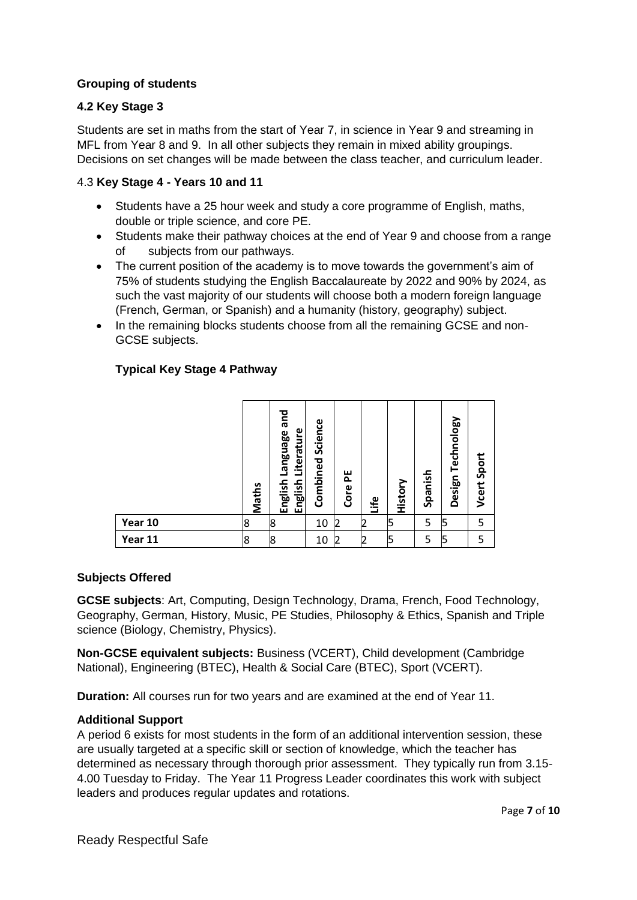#### **Grouping of students**

#### **4.2 Key Stage 3**

Students are set in maths from the start of Year 7, in science in Year 9 and streaming in MFL from Year 8 and 9. In all other subjects they remain in mixed ability groupings. Decisions on set changes will be made between the class teacher, and curriculum leader.

#### 4.3 **Key Stage 4 - Years 10 and 11**

- Students have a 25 hour week and study a core programme of English, maths, double or triple science, and core PE.
- Students make their pathway choices at the end of Year 9 and choose from a range of subjects from our pathways.
- The current position of the academy is to move towards the government's aim of 75% of students studying the English Baccalaureate by 2022 and 90% by 2024, as such the vast majority of our students will choose both a modern foreign language (French, German, or Spanish) and a humanity (history, geography) subject.
- In the remaining blocks students choose from all the remaining GCSE and non-GCSE subjects.

# **Typical Key Stage 4 Pathway**

|         | Maths | and<br>Literature<br><b>Language</b><br>English<br>English | Science<br>Combined | 뿐<br>Core      | ھے:<br>پ       | History | Spanish | Technology<br>Design | Sport<br>Vcert |
|---------|-------|------------------------------------------------------------|---------------------|----------------|----------------|---------|---------|----------------------|----------------|
| Year 10 | 8     | 8                                                          | 10                  | l2             | 12             | כ       | 5       | 15                   | 5              |
| Year 11 | 8     | 8                                                          | 10                  | $\overline{2}$ | $\overline{2}$ | 15      | 5       | ļ5                   | 5              |

#### **Subjects Offered**

**GCSE subjects**: Art, Computing, Design Technology, Drama, French, Food Technology, Geography, German, History, Music, PE Studies, Philosophy & Ethics, Spanish and Triple science (Biology, Chemistry, Physics).

**Non-GCSE equivalent subjects:** Business (VCERT), Child development (Cambridge National), Engineering (BTEC), Health & Social Care (BTEC), Sport (VCERT).

**Duration:** All courses run for two years and are examined at the end of Year 11.

#### **Additional Support**

A period 6 exists for most students in the form of an additional intervention session, these are usually targeted at a specific skill or section of knowledge, which the teacher has determined as necessary through thorough prior assessment. They typically run from 3.15- 4.00 Tuesday to Friday. The Year 11 Progress Leader coordinates this work with subject leaders and produces regular updates and rotations.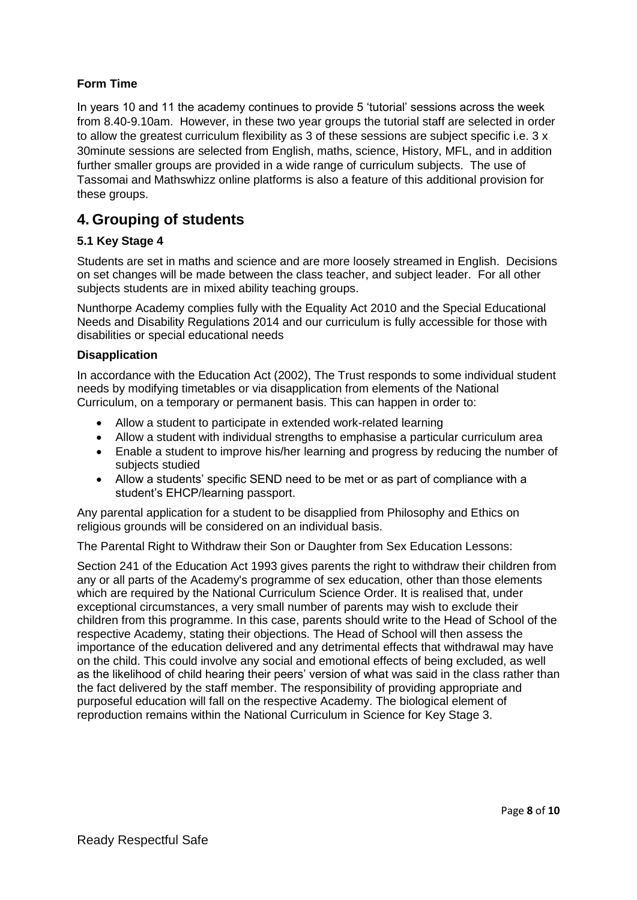# **Form Time**

In years 10 and 11 the academy continues to provide 5 'tutorial' sessions across the week from 8.40-9.10am. However, in these two year groups the tutorial staff are selected in order to allow the greatest curriculum flexibility as 3 of these sessions are subject specific i.e. 3 x 30minute sessions are selected from English, maths, science, History, MFL, and in addition further smaller groups are provided in a wide range of curriculum subjects. The use of Tassomai and Mathswhizz online platforms is also a feature of this additional provision for these groups.

# **4. Grouping of students**

## **5.1 Key Stage 4**

Students are set in maths and science and are more loosely streamed in English. Decisions on set changes will be made between the class teacher, and subject leader. For all other subjects students are in mixed ability teaching groups.

Nunthorpe Academy complies fully with the Equality Act 2010 and the Special Educational Needs and Disability Regulations 2014 and our curriculum is fully accessible for those with disabilities or special educational needs

#### **Disapplication**

In accordance with the Education Act (2002), The Trust responds to some individual student needs by modifying timetables or via disapplication from elements of the National Curriculum, on a temporary or permanent basis. This can happen in order to:

- Allow a student to participate in extended work-related learning
- Allow a student with individual strengths to emphasise a particular curriculum area
- Enable a student to improve his/her learning and progress by reducing the number of subjects studied
- Allow a students' specific SEND need to be met or as part of compliance with a student's EHCP/learning passport.

Any parental application for a student to be disapplied from Philosophy and Ethics on religious grounds will be considered on an individual basis.

The Parental Right to Withdraw their Son or Daughter from Sex Education Lessons:

Section 241 of the Education Act 1993 gives parents the right to withdraw their children from any or all parts of the Academy's programme of sex education, other than those elements which are required by the National Curriculum Science Order. It is realised that, under exceptional circumstances, a very small number of parents may wish to exclude their children from this programme. In this case, parents should write to the Head of School of the respective Academy, stating their objections. The Head of School will then assess the importance of the education delivered and any detrimental effects that withdrawal may have on the child. This could involve any social and emotional effects of being excluded, as well as the likelihood of child hearing their peers' version of what was said in the class rather than the fact delivered by the staff member. The responsibility of providing appropriate and purposeful education will fall on the respective Academy. The biological element of reproduction remains within the National Curriculum in Science for Key Stage 3.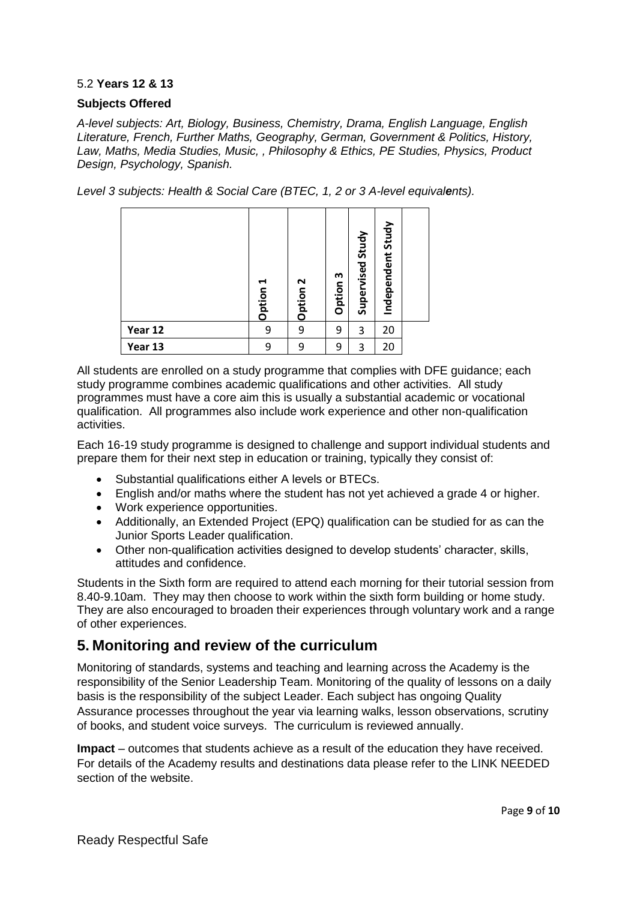#### 5.2 **Years 12 & 13**

#### **Subjects Offered**

*A-level subjects: Art, Biology, Business, Chemistry, Drama, English Language, English Literature, French, Further Maths, Geography, German, Government & Politics, History, Law, Maths, Media Studies, Music, , Philosophy & Ethics, PE Studies, Physics, Product Design, Psychology, Spanish.*

*Level 3 subjects: Health & Social Care (BTEC, 1, 2 or 3 A-level equivalents).* 

|         | ↤<br>Option | Option 2 | w<br>Option | Study<br>Supervised | Independent Study |  |
|---------|-------------|----------|-------------|---------------------|-------------------|--|
| Year 12 | 9           | 9        | 9           | 3                   | 20                |  |
| Year 13 | 9           | 9        | 9           | 3                   | 20                |  |

All students are enrolled on a study programme that complies with DFE guidance; each study programme combines academic qualifications and other activities. All study programmes must have a core aim this is usually a substantial academic or vocational qualification. All programmes also include work experience and other non-qualification activities.

Each 16-19 study programme is designed to challenge and support individual students and prepare them for their next step in education or training, typically they consist of:

- Substantial qualifications either A levels or BTECs.
- English and/or maths where the student has not yet achieved a grade 4 or higher.
- Work experience opportunities.
- Additionally, an Extended Project (EPQ) qualification can be studied for as can the Junior Sports Leader qualification.
- Other non-qualification activities designed to develop students' character, skills, attitudes and confidence.

Students in the Sixth form are required to attend each morning for their tutorial session from 8.40-9.10am. They may then choose to work within the sixth form building or home study. They are also encouraged to broaden their experiences through voluntary work and a range of other experiences.

# **5. Monitoring and review of the curriculum**

Monitoring of standards, systems and teaching and learning across the Academy is the responsibility of the Senior Leadership Team. Monitoring of the quality of lessons on a daily basis is the responsibility of the subject Leader. Each subject has ongoing Quality Assurance processes throughout the year via learning walks, lesson observations, scrutiny of books, and student voice surveys. The curriculum is reviewed annually.

**Impact** – outcomes that students achieve as a result of the education they have received. For details of the Academy results and destinations data please refer to the LINK NEEDED section of the website.